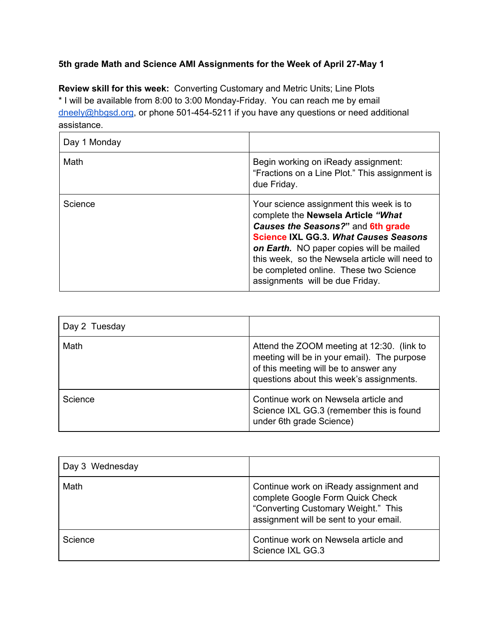## **5th grade Math and Science AMI Assignments for the Week of April 27-May 1**

**Review skill for this week:** Converting Customary and Metric Units; Line Plots \* I will be available from 8:00 to 3:00 Monday-Friday. You can reach me by email [dneely@hbgsd.org](mailto:dneely@hbgsd.org), or phone 501-454-5211 if you have any questions or need additional assistance.

| Day 1 Monday |                                                                                                                                                                                                                                                                                                                                                |
|--------------|------------------------------------------------------------------------------------------------------------------------------------------------------------------------------------------------------------------------------------------------------------------------------------------------------------------------------------------------|
| Math         | Begin working on iReady assignment:<br>"Fractions on a Line Plot." This assignment is<br>due Friday.                                                                                                                                                                                                                                           |
| Science      | Your science assignment this week is to<br>complete the Newsela Article "What<br>Causes the Seasons?" and 6th grade<br><b>Science IXL GG.3. What Causes Seasons</b><br>on Earth. NO paper copies will be mailed<br>this week, so the Newsela article will need to<br>be completed online. These two Science<br>assignments will be due Friday. |

| Day 2 Tuesday |                                                                                                                                                                                |
|---------------|--------------------------------------------------------------------------------------------------------------------------------------------------------------------------------|
| Math          | Attend the ZOOM meeting at 12:30. (link to<br>meeting will be in your email). The purpose<br>of this meeting will be to answer any<br>questions about this week's assignments. |
| Science       | Continue work on Newsela article and<br>Science IXL GG.3 (remember this is found<br>under 6th grade Science)                                                                   |

| Day 3 Wednesday |                                                                                                                                                             |
|-----------------|-------------------------------------------------------------------------------------------------------------------------------------------------------------|
| Math            | Continue work on iReady assignment and<br>complete Google Form Quick Check<br>"Converting Customary Weight." This<br>assignment will be sent to your email. |
| Science         | Continue work on Newsela article and<br>Science IXL GG.3                                                                                                    |